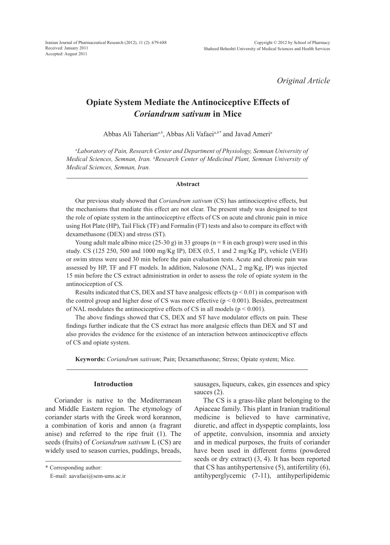Iranian Journal of Pharmaceutical Research (2012), 11 (2): 679-688 Received: January 2011 Accepted: August 2011

*Original Article*

## **Opiate System Mediate the Antinociceptive Effects of**  *Coriandrum sativum* **in Mice**

Abbas Ali Taherian*a,b*, Abbas Ali Vafaei*a,b\** and Javad Ameri*<sup>a</sup>*

*a Laboratory of Pain, Research Center and Department of Physiology, Semnan University of Medical Sciences, Semnan, Iran. b Research Center of Medicinal Plant, Semnan University of Medical Sciences, Semnan, Iran.*

#### **Abstract**

Our previous study showed that *Coriandrum sativum* (CS) has antinociceptive effects, but the mechanisms that mediate this effect are not clear. The present study was designed to test the role of opiate system in the antinociceptive effects of CS on acute and chronic pain in mice using Hot Plate (HP), Tail Flick (TF) and Formalin (FT) tests and also to compare its effect with dexamethasone (DEX) and stress (ST).

Young adult male albino mice  $(25-30 g)$  in 33 groups (n = 8 in each group) were used in this study. CS (125 250, 500 and 1000 mg/Kg IP), DEX (0.5, 1 and 2 mg/Kg IP), vehicle (VEH) or swim stress were used 30 min before the pain evaluation tests. Acute and chronic pain was assessed by HP, TF and FT models. In addition, Naloxone (NAL, 2 mg/Kg, IP) was injected 15 min before the CS extract administration in order to assess the role of opiate system in the antinociception of CS.

Results indicated that CS, DEX and ST have analgesic effects ( $p < 0.01$ ) in comparison with the control group and higher dose of CS was more effective ( $p < 0.001$ ). Besides, pretreatment of NAL modulates the antinociceptive effects of CS in all models ( $p < 0.001$ ).

The above findings showed that CS, DEX and ST have modulator effects on pain. These findings further indicate that the CS extract has more analgesic effects than DEX and ST and also provides the evidence for the existence of an interaction between antinociceptive effects of CS and opiate system.

**Keywords:** *Coriandrum sativum*; Pain; Dexamethasone; Stress; Opiate system; Mice.

## **Introduction**

Coriander is native to the Mediterranean and Middle Eastern region. The etymology of coriander starts with the Greek word korannon, a combination of koris and annon (a fragrant anise) and referred to the ripe fruit (1). The seeds (fruits) of *Coriandrum sativum* L (CS) are widely used to season curries, puddings, breads, sausages, liqueurs, cakes, gin essences and spicy sauces  $(2)$ .

The CS is a grass-like plant belonging to the Apiaceae family. This plant in Iranian traditional medicine is believed to have carminative, diuretic, and affect in dyspeptic complaints, loss of appetite, convulsion, insomnia and anxiety and in medical purposes, the fruits of coriander have been used in different forms (powdered seeds or dry extract) (3, 4). It has been reported that CS has antihypertensive (5), antifertility (6), antihyperglycemic (7-11), antihyperlipidemic

<sup>\*</sup> Corresponding author:

E-mail: aavafaei@sem-ums.ac.ir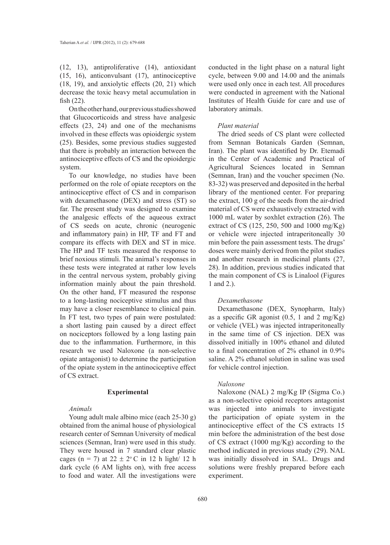(12, 13), antiproliferative (14), antioxidant (15, 16), anticonvulsant (17), antinociceptive (18, 19), and anxiolytic effects (20, 21) which decrease the toxic heavy metal accumulation in fish (22).

On the other hand, our previous studies showed that Glucocorticoids and stress have analgesic effects (23, 24) and one of the mechanisms involved in these effects was opioidergic system (25). Besides, some previous studies suggested that there is probably an interaction between the antinociceptive effects of CS and the opioidergic system.

To our knowledge, no studies have been performed on the role of opiate receptors on the antinociceptive effect of CS and in comparison with dexamethasone (DEX) and stress (ST) so far. The present study was designed to examine the analgesic effects of the aqueous extract of CS seeds on acute, chronic (neurogenic and inflammatory pain) in HP, TF and FT and compare its effects with DEX and ST in mice. The HP and TF tests measured the response to brief noxious stimuli. The animal's responses in these tests were integrated at rather low levels in the central nervous system, probably giving information mainly about the pain threshold. On the other hand, FT measured the response to a long-lasting nociceptive stimulus and thus may have a closer resemblance to clinical pain. In FT test, two types of pain were postulated: a short lasting pain caused by a direct effect on nociceptors followed by a long lasting pain due to the inflammation. Furthermore, in this research we used Naloxone (a non-selective opiate antagonist) to determine the participation of the opiate system in the antinociceptive effect of CS extract.

#### **Experimental**

## *Animals*

Young adult male albino mice (each 25-30 g) obtained from the animal house of physiological research center of Semnan University of medical sciences (Semnan, Iran) were used in this study. They were housed in 7 standard clear plastic cages (n = 7) at  $22 \pm 2$ °C in 12 h light/ 12 h dark cycle (6 AM lights on), with free access to food and water. All the investigations were

conducted in the light phase on a natural light cycle, between 9.00 and 14.00 and the animals were used only once in each test. All procedures were conducted in agreement with the National Institutes of Health Guide for care and use of laboratory animals.

## *Plant material*

The dried seeds of CS plant were collected from Semnan Botanicals Garden (Semnan, Iran). The plant was identified by Dr. Etemadi in the Center of Academic and Practical of Agricultural Sciences located in Semnan (Semnan, Iran) and the voucher specimen (No. 83-32) was preserved and deposited in the herbal library of the mentioned center. For preparing the extract, 100 g of the seeds from the air-dried material of CS were exhaustively extracted with 1000 mL water by soxhlet extraction (26). The extract of CS (125, 250, 500 and 1000 mg/Kg) or vehicle were injected intraperitoneally 30 min before the pain assessment tests. The drugs' doses were mainly derived from the pilot studies and another research in medicinal plants (27, 28). In addition, previous studies indicated that the main component of CS is Linalool (Figures 1 and 2.).

## *Dexamethasone*

Dexamethasone (DEX, Synopharm, Italy) as a specific GR agonist  $(0.5, 1 \text{ and } 2 \text{ mg/Kg})$ or vehicle (VEL) was injected intraperitoneally in the same time of CS injection. DEX was dissolved initially in 100% ethanol and diluted to a final concentration of 2% ethanol in 0.9% saline. A 2% ethanol solution in saline was used for vehicle control injection.

## *Naloxone*

Naloxone (NAL) 2 mg/Kg IP (Sigma Co.) as a non-selective opioid receptors antagonist was injected into animals to investigate the participation of opiate system in the antinociceptive effect of the CS extracts 15 min before the administration of the best dose of CS extract (1000 mg/Kg) according to the method indicated in previous study (29). NAL was initially dissolved in SAL. Drugs and solutions were freshly prepared before each experiment.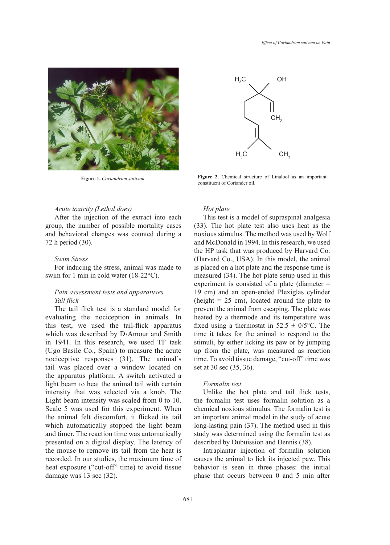

# $H_{3}C$  $H<sub>a</sub>$ C CH<sub>3</sub>  $CH<sub>2</sub>$ OH

Figure 1. *Coriandrum sativum*. **Figure 2.** Chemical structure of Linalool as an important constituent of Coriander oil.

## *Acute toxicity (Lethal does)*

After the injection of the extract into each group, the number of possible mortality cases and behavioral changes was counted during a 72 h period (30).

## *Swim Stress*

For inducing the stress, animal was made to swim for 1 min in cold water (18-22°C).

## *Pain assessment tests and apparatuses Tail flick*

The tail flick test is a standard model for evaluating the nociception in animals. In this test, we used the tail-flick apparatus which was described by D›Amour and Smith in 1941. In this research, we used TF task (Ugo Basile Co., Spain) to measure the acute nociceptive responses (31). The animal's tail was placed over a window located on the apparatus platform. A switch activated a light beam to heat the animal tail with certain intensity that was selected via a knob. The Light beam intensity was scaled from 0 to 10. Scale 5 was used for this experiment. When the animal felt discomfort, it flicked its tail which automatically stopped the light beam and timer. The reaction time was automatically presented on a digital display. The latency of the mouse to remove its tail from the heat is recorded. In our studies, the maximum time of heat exposure ("cut-off" time) to avoid tissue damage was 13 sec (32).

## *Hot plate*

This test is a model of supraspinal analgesia (33). The hot plate test also uses heat as the noxious stimulus. The method was used by Wolf and McDonald in 1994. In this research, we used the HP task that was produced by Harvard Co. (Harvard Co., USA). In this model, the animal is placed on a hot plate and the response time is measured (34). The hot plate setup used in this experiment is consisted of a plate (diameter = 19 cm) and an open-ended Plexiglas cylinder (height = 25 cm)**,** located around the plate to prevent the animal from escaping. The plate was heated by a thermode and its temperature was fixed using a thermostat in  $52.5 \pm 0/5$ °C. The time it takes for the animal to respond to the stimuli, by either licking its paw or by jumping up from the plate, was measured as reaction time. To avoid tissue damage, "cut-off" time was set at 30 sec (35, 36).

## *Formalin test*

Unlike the hot plate and tail flick tests, the formalin test uses formalin solution as a chemical noxious stimulus. The formalin test is an important animal model in the study of acute long-lasting pain (37). The method used in this study was determined using the formalin test as described by Dubuission and Dennis (38).

Intraplantar injection of formalin solution causes the animal to lick its injected paw. This behavior is seen in three phases: the initial phase that occurs between 0 and 5 min after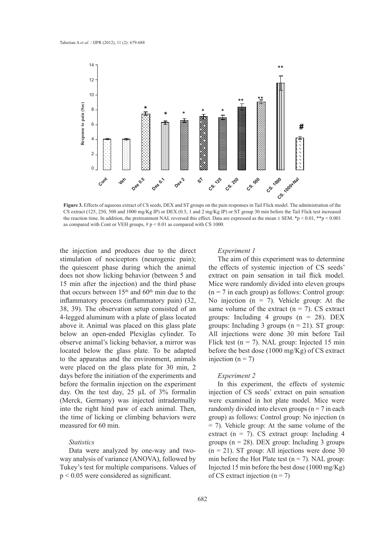

**Figure 3.** Effects of aqueous extract of CS seeds, DEX and ST groups on the pain responses in Tail Flick model. The administration of the CS extract (125, 250, 500 and 1000 mg/Kg IP) or DEX (0.5, 1 and 2 mg/Kg IP) or ST group 30 min before the Tail Flick test increased the reaction time. In addition, the pretreatment NAL reversed this effect. Data are expressed as the mean  $\pm$  SEM. \*p < 0.01, \*\*p < 0.001 as compared with Cont or VEH groups,  $\# p \leq 0.01$  as compared with CS 1000.

the injection and produces due to the direct stimulation of nociceptors (neurogenic pain); the quiescent phase during which the animal does not show licking behavior (between 5 and 15 min after the injection) and the third phase that occurs between  $15<sup>th</sup>$  and  $60<sup>th</sup>$  min due to the inflammatory process (inflammatory pain) (32, 38, 39). The observation setup consisted of an 4-legged aluminum with a plate of glass located above it. Animal was placed on this glass plate below an open-ended Plexiglas cylinder. To observe animal's licking behavior, a mirror was located below the glass plate. To be adapted to the apparatus and the environment, animals were placed on the glass plate for 30 min, 2 days before the initiation of the experiments and before the formalin injection on the experiment day. On the test day, 25 µL of 3% formalin (Merck, Germany) was injected intradermally into the right hind paw of each animal. Then, the time of licking or climbing behaviors were measured for 60 min.

## *Statistics*

Data were analyzed by one-way and twoway analysis of variance (ANOVA), followed by Tukey's test for multiple comparisons. Values of p < 0.05 were considered as significant.

## *Experiment 1*

The aim of this experiment was to determine the effects of systemic injection of CS seeds' extract on pain sensation in tail flick model. Mice were randomly divided into eleven groups  $(n = 7$  in each group) as follows: Control group: No injection ( $n = 7$ ). Vehicle group: At the same volume of the extract  $(n = 7)$ . CS extract groups: Including 4 groups  $(n = 28)$ . DEX groups: Including 3 groups  $(n = 21)$ . ST group: All injections were done 30 min before Tail Flick test ( $n = 7$ ). NAL group: Injected 15 min before the best dose (1000 mg/Kg) of CS extract injection ( $n = 7$ )

#### *Experiment 2*

In this experiment, the effects of systemic injection of CS seeds' extract on pain sensation were examined in hot plate model. Mice were randomly divided into eleven groups ( $n = 7$  in each group) as follows: Control group: No injection (n = 7). Vehicle group: At the same volume of the extract ( $n = 7$ ). CS extract group: Including 4 groups ( $n = 28$ ). DEX group: Including 3 groups  $(n = 21)$ . ST group: All injections were done 30 min before the Hot Plate test  $(n = 7)$ . NAL group: Injected 15 min before the best dose (1000 mg/Kg) of CS extract injection  $(n = 7)$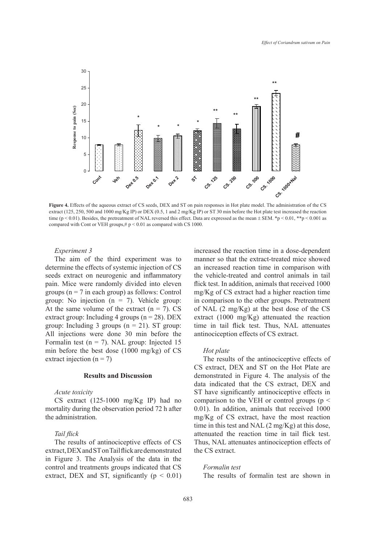

**Figure 4.** Effects of the aqueous extract of CS seeds, DEX and ST on pain responses in Hot plate model. The administration of the CS extract (125, 250, 500 and 1000 mg/Kg IP) or DEX (0.5, 1 and 2 mg/Kg IP) or ST 30 min before the Hot plate test increased the reaction time (p < 0.01). Besides, the pretreatment of NAL reversed this effect. Data are expressed as the mean  $\pm$  SEM. \*p < 0.01, \*\*p < 0.001 as compared with Cont or VEH groups,# p < 0.01 as compared with CS 1000.

## *Experiment 3*

The aim of the third experiment was to determine the effects of systemic injection of CS seeds extract on neurogenic and inflammatory pain. Mice were randomly divided into eleven groups ( $n = 7$  in each group) as follows: Control group: No injection  $(n = 7)$ . Vehicle group: At the same volume of the extract  $(n = 7)$ . CS extract group: Including 4 groups ( $n = 28$ ). DEX group: Including 3 groups  $(n = 21)$ . ST group: All injections were done 30 min before the Formalin test ( $n = 7$ ). NAL group: Injected 15 min before the best dose (1000 mg/kg) of CS extract injection  $(n = 7)$ 

## **Results and Discussion**

#### *Acute toxicity*

CS extract (125-1000 mg/Kg IP) had no mortality during the observation period 72 h after the administration.

#### *Tail flick*

The results of antinociceptive effects of CS extract, DEX and ST on Tail flick are demonstrated in Figure 3. The Analysis of the data in the control and treatments groups indicated that CS extract, DEX and ST, significantly  $(p < 0.01)$  increased the reaction time in a dose-dependent manner so that the extract-treated mice showed an increased reaction time in comparison with the vehicle-treated and control animals in tail flick test. In addition, animals that received 1000 mg/Kg of CS extract had a higher reaction time in comparison to the other groups. Pretreatment of NAL (2 mg/Kg) at the best dose of the CS extract (1000 mg/Kg) attenuated the reaction time in tail flick test. Thus, NAL attenuates antinociception effects of CS extract.

#### *Hot plate*

The results of the antinociceptive effects of CS extract, DEX and ST on the Hot Plate are demonstrated in Figure 4. The analysis of the data indicated that the CS extract, DEX and ST have significantly antinociceptive effects in comparison to the VEH or control groups ( $p <$ 0.01). In addition, animals that received 1000 mg/Kg of CS extract, have the most reaction time in this test and NAL (2 mg/Kg) at this dose, attenuated the reaction time in tail flick test. Thus, NAL attenuates antinociception effects of the CS extract.

*Formalin test* 

The results of formalin test are shown in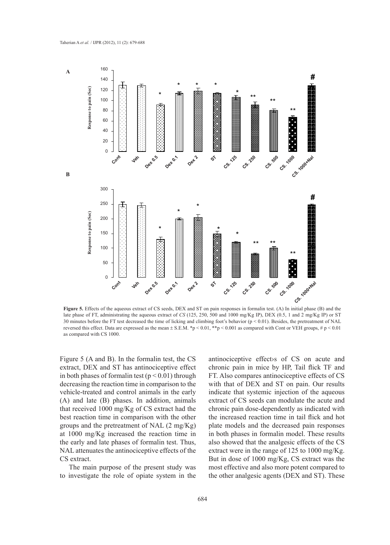

**Figure 5.** Effects of the aqueous extract of CS seeds, DEX and ST on pain responses in formalin test. (A) In initial phase (B) and the late phase of FT, administrating the aqueous extract of *CS* (125, 250, 500 and 1000 mg/Kg IP), DEX (0.5, 1 and 2 mg/Kg IP) or ST 30 minutes before the FT test decreased the time of licking and climbing foot's behavior (p < 0.01). Besides, the pretreatment of NAL reversed this effect. Data are expressed as the mean ± S.E.M. \*p < 0.01, \*\*p < 0.001 as compared with Cont or VEH groups, # p < 0.01 as compared with CS 1000.

Figure 5 (A and B). In the formalin test, the CS extract, DEX and ST has antinociceptive effect in both phases of formal in test ( $p < 0.01$ ) through decreasing the reaction time in comparison to the vehicle-treated and control animals in the early (A) and late (B) phases. In addition, animals that received 1000 mg/Kg of CS extract had the best reaction time in comparison with the other groups and the pretreatment of NAL (2 mg/Kg) at 1000 mg/Kg increased the reaction time in the early and late phases of formalin test. Thus, NAL attenuates the antinociceptive effects of the CS extract.

The main purpose of the present study was to investigate the role of opiate system in the antinociceptive effect›s of CS on acute and chronic pain in mice by HP, Tail flick TF and FT. Also compares antinociceptive effects of CS with that of DEX and ST on pain. Our results indicate that systemic injection of the aqueous extract of CS seeds can modulate the acute and chronic pain dose-dependently as indicated with the increased reaction time in tail flick and hot plate models and the decreased pain responses in both phases in formalin model. These results also showed that the analgesic effects of the CS extract were in the range of 125 to 1000 mg/Kg. But in dose of 1000 mg/Kg, CS extract was the most effective and also more potent compared to the other analgesic agents (DEX and ST). These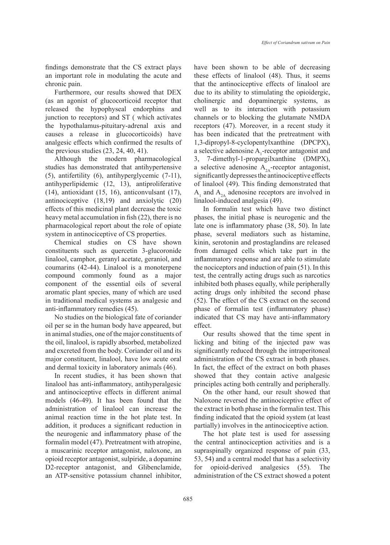findings demonstrate that the CS extract plays an important role in modulating the acute and chronic pain.

Furthermore, our results showed that DEX (as an agonist of glucocorticoid receptor that released the hypophyseal endorphins and junction to receptors) and ST ( which activates the hypothalamus-pituitary-adrenal axis and causes a release in glucocorticoids) have analgesic effects which confirmed the results of the previous studies  $(23, 24, 40, 41)$ .

Although the modern pharmacological studies has demonstrated that antihypertensive (5), antifertility (6), antihyperglycemic (7-11), antihyperlipidemic (12, 13), antiproliferative (14), antioxidant (15, 16), anticonvulsant (17), antinociceptive (18,19) and anxiolytic (20) effects of this medicinal plant decrease the toxic heavy metal accumulation in fish (22), there is no pharmacological report about the role of opiate system in antinociceptive of CS properties.

Chemical studies on CS have shown constituents such as quercetin 3-glucoronide linalool, camphor, geranyl acetate, geraniol, and coumarins (42-44). Linalool is a monoterpene compound commonly found as a major component of the essential oils of several aromatic plant species, many of which are used in traditional medical systems as analgesic and anti-inflammatory remedies (45).

No studies on the biological fate of coriander oil per se in the human body have appeared, but in animal studies, one of the major constituents of the oil, linalool, is rapidly absorbed, metabolized and excreted from the body. Coriander oil and its major constituent, linalool, have low acute oral and dermal toxicity in laboratory animals (46).

In recent studies, it has been shown that linalool has anti-inflammatory, antihyperalgesic and antinociceptive effects in different animal models (46-49). It has been found that the administration of linalool can increase the animal reaction time in the hot plate test. In addition, it produces a significant reduction in the neurogenic and inflammatory phase of the formalin model (47). Pretreatment with atropine, a muscarinic receptor antagonist, naloxone, an opioid receptor antagonist, sulpiride, a dopamine D2-receptor antagonist, and Glibenclamide, an ATP-sensitive potassium channel inhibitor, have been shown to be able of decreasing these effects of linalool (48). Thus, it seems that the antinociceptive effects of linalool are due to its ability to stimulating the opioidergic, cholinergic and dopaminergic systems, as well as to its interaction with potassium channels or to blocking the glutamate NMDA receptors (47). Moreover, in a recent study it has been indicated that the pretreatment with 1,3-dipropyl-8-cyclopentylxanthine (DPCPX), a selective adenosine  $A_1$ -receptor antagonist and 3, 7-dimethyl-1-propargilxanthine (DMPX), a selective adenosine  $A_{2A}$ -receptor antagonist, significantly depresses the antinociceptive effects of linalool (49). This finding demonstrated that  $A_1$  and  $A_{2A}$  adenosine receptors are involved in linalool-induced analgesia (49).

In formalin test which have two distinct phases, the initial phase is neurogenic and the late one is inflammatory phase (38, 50). In late phase, several mediators such as histamine, kinin, serotonin and prostaglandins are released from damaged cells which take part in the inflammatory response and are able to stimulate the nociceptors and induction of pain (51). In this test, the centrally acting drugs such as narcotics inhibited both phases equally, while peripherally acting drugs only inhibited the second phase (52). The effect of the CS extract on the second phase of formalin test (inflammatory phase) indicated that CS may have anti-inflammatory effect.

Our results showed that the time spent in licking and biting of the injected paw was significantly reduced through the intraperitoneal administration of the CS extract in both phases. In fact, the effect of the extract on both phases showed that they contain active analgesic principles acting both centrally and peripherally.

On the other hand, our result showed that Naloxone reversed the antinociceptive effect of the extract in both phase in the formalin test. This finding indicated that the opioid system (at least partially) involves in the antinociceptive action.

The hot plate test is used for assessing the central antinociception activities and is a supraspinally organized response of pain (33, 53, 54) and a central model that has a selectivity for opioid-derived analgesics (55). The administration of the CS extract showed a potent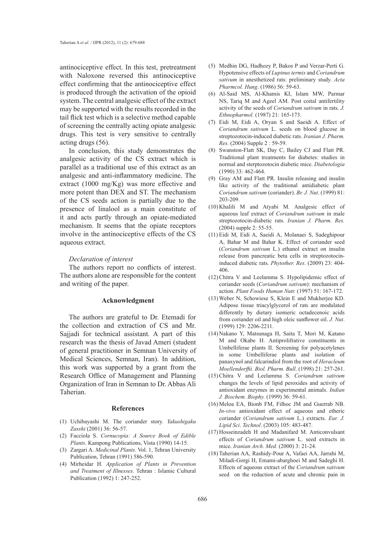antinociceptive effect. In this test, pretreatment with Naloxone reversed this antinociceptive effect confirming that the antinociceptive effect is produced through the activation of the opioid system. The central analgesic effect of the extract may be supported with the results recorded in the tail flick test which is a selective method capable of screening the centrally acting opiate analgesic drugs. This test is very sensitive to centrally acting drugs (56).

In conclusion, this study demonstrates the analgesic activity of the CS extract which is parallel as a traditional use of this extract as an analgesic and anti-inflammatory medicine. The extract (1000 mg/Kg) was more effective and more potent than DEX and ST. The mechanism of the CS seeds action is partially due to the presence of linalool as a main constitute of it and acts partly through an opiate-mediated mechanism. It seems that the opiate receptors involve in the antinociceptive effects of the CS aqueous extract.

#### *Declaration of interest*

The authors report no conflicts of interest. The authors alone are responsible for the content and writing of the paper.

## **Acknowledgment**

The authors are grateful to Dr. Etemadi for the collection and extraction of CS and Mr. Sajjadi for technical assistant. A part of this research was the thesis of Javad Ameri (student of general practitioner in Semnan University of Medical Sciences, Semnan, Iran). In addition, this work was supported by a grant from the Research Office of Management and Planning Organization of Iran in Semnan to Dr. Abbas Ali Taherian.

#### **References**

- Uchibayashi M. The coriander story. *Yakushigaku*  (1) *Zasshi* (2001) 36: 56-57.
- Facciola S. *Cornucopia: A Source Book of Edible*  (2) *Plants*. Kampong Publications, Vista (1990) 14-15.
- (3) Zargari A. *Medicinal Plants*. Vol. 1, Tehran University Publication, Tehran (1991) 586-590.
- Mirheidar H. *Application of Plants in Prevention*  (4) *and Treatment of Illnesses.* Tehran : Islamic Cultural Publication (1992) 1: 247-252.
- (5) Medhin DG, Hadhozy P, Bakos P and Verzar-Perti G. Hypotensive effects of *Lupinus termis* and *Coriandrum sativum* in anesthetized rats: preliminary study. *Acta Pharmcol. Hung*. (1986) 56: 59-63.
- Al-Said MS, Al-Khamis KI, Islam MW, Parmar (6) NS, Tariq M and Ageel AM. Post coital antifertility activity of the seeds of *Coriandrum sativum* in rats. *J. Ethnopharmol.* (1987) 21: 165-173.
- Eidi M, Eidi A, Oryan S and Saeidi A. Effect of (7) *Coriandrum sativum* L. seeds on blood glucose in streptozotocin-induced diabetic rats. *Iranian J. Pharm. Res.* (2004) Supple 2 : 59-59.
- (8) Swanston-Flatt SK, Day C, Bailey CJ and Flatt PR. Traditional plant treatments for diabetes: studies in normal and sterptozotocin diabetic mice. *Diabetologia* (1990) 33: 462-464.
- Gray AM and Flatt PR. Insulin releasing and insulin (9) like activity of the traditional antidiabetic plant *Coriandrum sativum* (coriander). *Br. J. Nut*. (1999) 81: 203-209.
- $(10)$  Khalili M and Atyabi M. Analgesic effect of aqueous leaf extract of *Coriandrum sativum* in male streptozotocin-diabetic rats. *Iranian J. Pharm. Res.*  (2004) supple 2: 55-55.
- Eidi M, Eidi A, Saeidi A, Molanaei S, Sadeghipour (11) A, Bahar M and Bahar K. Effect of coriander seed (*Coriandrum sativum* L.) ethanol extract on insulin release from pancreatic beta cells in streptozotocininduced diabetic rats. *Phytother. Res*. (2009) 23: 404- 406.
- $(12)$  Chitra V and Leelamma S. Hypolipidemic effect of coriander seeds (*Coriandrum sativum*): mechanism of action. *Plant Foods Human Nutr.* (1997) 51: 167-172.
- Weber N, Schowiese S, Klein E and Mukherjee KD. (13) Adipose tissue triacylglycerol of rats are modulated differently by dietary isomeric octadecenoic acids from coriander oil and high oleic sunflower oil. *J. Nut*. (1999) 129: 2206-2211.
- Nakano Y, Matsunaga H, Saita T, Mori M, Katano (14) M and Okabe H. Antiprolifrative constituents in Umbelliferae plants II. Screening for polyacetylenes in some Umbelliferae plants and isolation of panaxynol and falcarindiol from the root of *Heracleum Moellendorffii. Biol. Pharm. Bull*. (1998) 21: 257-261.
- Chitra V and Leelamma S. *Coriandrum sativum* (15) changes the levels of lipid peroxides and activity of antioxidant enzymes in experimental animals. *Indian J. Biochem. Biophy.* (1999) 36: 59-61.
- $(16)$  Meloa EA, Bionb FM, Filhoc JM and Guerrab NB. *In-vivo* antioxidant effect of aqueous and etheric coriander (*Coriandrum sativum* L.) extracts. *Eur. J. Lipid Sci*. *Technol*. (2003) 105: 483-487.
- (17) Hosseinzadeh H and Madanifard M. Anticonvulsant effects of *Coriandrum sativum* L. seed extracts in mice. *Iranian Arch. Med.* (2000) 3: 21-24.
- (18) Taherian AA, Rashidy-Pour A, Vafaei AA, Jarrahi M, Miladi-Gorgi H, Emami-abarghoei M and Sadeghi H. Effects of aqueous extract of the *Coriandrum sativum* seed on the reduction of acute and chronic pain in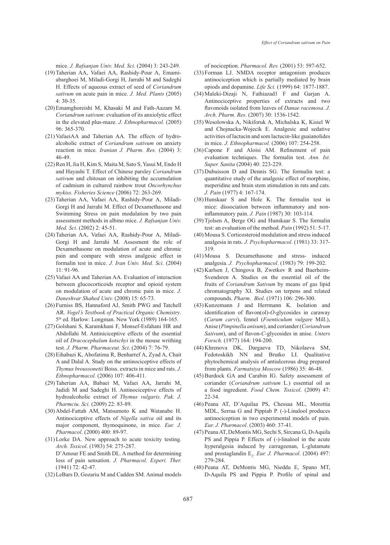mice. *J. Rafsanjan Univ. Med. Sci.* (2004) 3: 243-249.

- (19) Taherian AA, Vafaei AA, Rashidy-Pour A, Emamiabarghoei M, Miladi-Gorgi H, Jarrahi M and Sadeghi H. Effects of aqueous extract of seed of *Coriandrum sativum* on acute pain in mice. *J. Med. Plants* (2005) 4: 30-35.
- (20) Emamghoreishi M, Khasaki M and Fath-Aazam M. *Coriandrum sativum*: evaluation of its anxiolytic effect in the elevated plus-maze. *J. Ethnopharmacol.* (2005) 96: 365-370.
- (21) VafaeiAA and Taherian AA. The effects of hydroalcoholic extract of *Coriandrum sativum* on anxiety reaction in mice*. Iranian J. Pharm. Res.* (2004) 3: 46-49.
- (22) Ren H, Jia H, Kim S, Maita M, Sato S, Yasui M, Endo H and Hayashi T. Effect of Chinese parsley *Coriandrum sativum* and chitosan on inhibiting the accumulation of cadmium in cultured rainbow trout *Oncorhynchus mykiss. Fisheries Science* (2006) 72: 263-269.
- (23) Taherian AA, Vafaei AA, Rashidy-Pour A, Miladi-Gorgi H and Jarrahi M. Effect of Dexamethasone and Swimming Stress on pain modulation by two pain assessment methods in albino mice. *J. Rafsanjan Univ. Med. Sci*. (2002) 2: 45-51.
- (24) Taherian AA, Vafaei AA, Rashidy-Pour A, Miladi-Gorgi H and Jarrahi M. Assesment the role of Dexamethasone on modulation of acute and chronic pain and compare with stress analgesic effect in formalin test in mice. *J. Iran Univ. Med. Sci*. (2004) 11: 91-96.
- (25) Vafaei AA and Taherian AA. Evaluation of interaction between glucocorticoids receptor and opioid system on modulation of acute and chronic pain in mice. *J. Daneshvar Shahed Univ.* (2008) 15: 65-73.
- (26) Furniss BS, Hannaford AJ, Smith PWG and Tatchell AR. *Vogel's Textbook of Practical Organic Chemistry*. 5<sup>th</sup> ed. Harlow: Longman. New York (1989) 164-165.
- (27) Golshani S, Karamkhani F, Monsef-Esfahani HR and Abdollahi M. Antiniciceptive effects of the essential oil of *Dracocephalum kotschyi* in the mouse writhing test. *J. Pharm. Pharmaceut. Sci*. (2004) 7: 76-79.
- Eihabazi K, Abofatima R, Benharref A, Zyad A, Chait (28) A and Dalal A. Study on the antinociceptive effects of *Thymus broussonetii* Boiss. extracts in mice and rats. *J. Ethnopharmacol.* (2006) 107: 406-411.
- (29) Taherian AA, Babaei M, Vafaei AA, Jarrahi M, Jadidi M and Sadeghi H. Antinociceptive effects of hydroalcoholic extract of *Thymus vulgaris. Pak. J. Pharmciu. Sci.* (2009) 22: 83-89.
- (30) Abdel-Fattah AM, Matsumoto K and Watanabe H. Antinociceptive effects of *Nigella sativa* oil and its major component, thymoquinone, in mice. *Eur. J. Pharmacol*. (2000) 400: 89-97.
- $(31)$  Lorke DA. New approach to acute toxicity testing. *Arch. Toxicol*. (1983) 54: 275-287. D'Amour FE and Smith DL. A method for determining loss of pain sensation. *J. Pharmacol. Experi. Ther.* (1941) 72: 42-47.
- LeBars D, Gozariu M and Cadden SM. Animal models (32)

of nociception. *Pharmacol. Rev.* (2001) 53: 597-652.

- (33) Forman LJ. NMDA receptor antagonism produces antinociception which is partially mediated by brain opiods and dopamine. *Life Sci.* (1999) 64: 1877-1887.
- Maleki-Dizaji N, Fathiazad1 F and Garjan A. (34) Antinociceptive properties of extracts and two flavonoids isolated from leaves of *Danae racemosa. J. Arch. Pharm. Res*. (2007) 30: 1536-1542.
- Wesolowska A, Nikiforuk A, Michalska K, Kisiel W (35) and Chojnacka-Wojecik E. Analgesic and sedative activities of lactucin and som lactucin-like guaianolides in mice. *J. Ethnopharmacol.* (2006) 107: 254-258.
- $(36)$  Capone F and Aloisi AM. Refinement of pain evaluation techniques. The formalin test. *Ann. Ist. Super. Sanita* (2004) 40: 223-229.
- $(37)$  Dubuisson D and Dennis SG. The formalin test: a quantitative study of the analgesic effect of morphine, meperidine and brain stem stimulation in rats and cats. *J. Pain* (1977) 4: 167-174.
- $(38)$  Hunskaar S and Hole K. The formal in test in mice: dissociation between inflammatory and noninflammatory pain. *J. Pain* (1987) 30: 103-114.
- (39) Tjolsen A, Berge OG and Hunskaar S. The formalin test: an evaluation of the method. *Pain* (1992) 51: 5-17.
- Mousa S. Corticosteroid modulation and stress induced (40) analgesia in rats. *J. Psychopharmacol*. (1981) 33: 317- 319.
- (41) Mousa S. Dexamethasone and stress- induced analgesia. *J. Psychopharmacol*. (1983) 79: 199-202.
- (42) Karlsen J, Chingova B, Zwetkov R and Baerheim-Svendsren A. Studies on the essential oil of the fruits of *Coriandrum Sativum* by means of gas lipid chromatography XI. Studies on terpens and related compounds. *Pharm. Biol*. (1971) 106: 296-300.
- $(43)$  Kunzemann J and Herrmann K. Isolation and identification of flavon(ol)-*O*-glycosides in caraway (*Carum carvi*), fennel (*Foenticulum vulgare* Mill.), Anise (*Pimpinella anisum*), and coriander (*Coriandrum Sativum*), and of flavon-*C*-glycosides in anise. *Unters Forsch.* (1977) 164: 194-200.
- (44) Khrenova DK, Dargaeva TD, Nikolaeva SM, Fedotoskikh NN and Brutko LI. Qualitative phytochemical analysis of antiulcerous drug prepared from plants. *Farmatsiya Moscow* (1986) 35: 46-48.
- (45) Burdock GA and Carabin IG. Safety assessment of coriander (*Coriandrum sativum* L.) essential oil as a food ingredient. *Food Chem. Toxicol*. (2009) 47: 22-34.
- (46) Peana AT, D'Aquilaa PS, Chessaa ML, Morettia MDL, Serraa G and Pippiab P. (-)-Linalool produces antinociception in two experimental models of pain. *Eur. J. Pharmacol*. (2003) 460: 37-41.
- Peana AT, DeMontis MG, Sechi S, Sircana G, D›Aquila (47) PS and Pippia P. Effects of (-)-linalool in the acute hyperalgesia induced by carrageenan, L-glutamate and prostaglandin  $E_2$ . *Eur. J. Pharmacol.* (2004) 497: 279-284.
- Peana AT, DeMontis MG, Nieddu E, Spano MT, (48)D›Aquila PS and Pippia P. Profile of spinal and